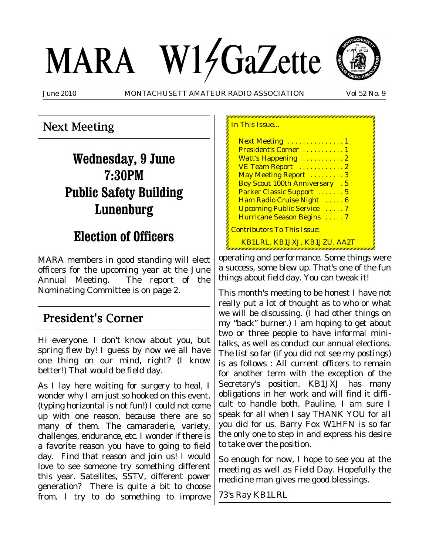# MARA W14GaZette



June 2010 MONTACHUSETT AMATEUR RADIO ASSOCIATION Vol 52 No. 9

## Next Meeting

# **Wednesday, 9 June 7:30PM Public Safety Building Lunenburg**

# **Election of Officers**

MARA members in good standing will elect officers for the upcoming year at the June Annual Meeting. The report of the Nominating Committee is on page 2.

## President's Corner

Hi everyone. I don't know about you, but spring flew by! I guess by now we all have one thing on our mind, right? (I know better!) That would be field day.

As I lay here waiting for surgery to heal, I wonder why I am just so hooked on this event. (typing horizontal is not fun!) I could not come up with one reason, because there are so many of them. The camaraderie, variety, challenges, endurance, etc. I wonder if there is a favorite reason you have to going to field day. Find that reason and join us! I would love to see someone try something different this year. Satellites, SSTV, different power generation? There is quite a bit to choose from. I try to do something to improve

| In This Issue                        |
|--------------------------------------|
| Next Meeting  1                      |
| President's Corner  1                |
| Watt's Happening  2                  |
| VE Team Report  2                    |
| May Meeting Report  3                |
| <b>Boy Scout 100th Anniversary</b> 5 |
| Parker Classic Support  5            |
| Ham Radio Cruise Night  6            |
| <b>Upcoming Public Service  7</b>    |
| Hurricane Season Begins  7           |
| <b>Contributors To This Issue:</b>   |
| <u>KB1LRL, KB1JXJ, KB1JZU, AA2T</u>  |

operating and performance. Some things were a success, some blew up. That's one of the fun things about field day. You can tweak it!

This month's meeting to be honest I have not really put a lot of thought as to who or what we will be discussing. (I had other things on my "back" burner.) I am hoping to get about two or three people to have informal minitalks, as well as conduct our annual elections. The list so far (if you did not see my postings) is as follows : All current officers to remain for another term with the exception of the Secretary's position. KB1JXJ has many obligations in her work and will find it difficult to handle both. Pauline, I am sure I speak for all when I say THANK YOU for all you did for us. Barry Fox W1HFN is so far the only one to step in and express his desire to take over the position.

So enough for now, I hope to see you at the meeting as well as Field Day. Hopefully the medicine man gives me good blessings.

73's Ray KB1LRL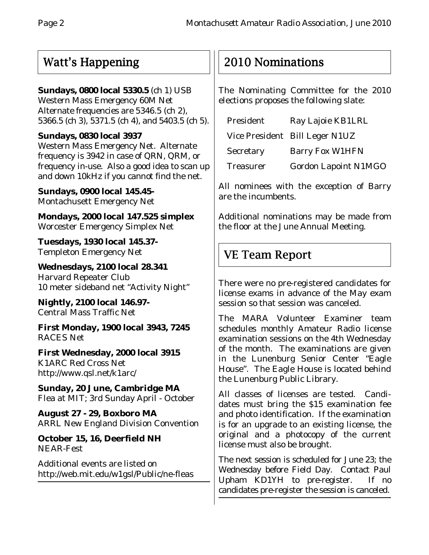# Watt's Happening

#### **Sundays, 0800 local 5330.5** (ch 1) USB

Western Mass Emergency 60M Net Alternate frequencies are 5346.5 (ch 2), 5366.5 (ch 3), 5371.5 (ch 4), and 5403.5 (ch 5).

#### **Sundays, 0830 local 3937**

Western Mass Emergency Net. Alternate frequency is 3942 in case of QRN, QRM, or frequency in-use. Also a good idea to scan up and down 10kHz if you cannot find the net.

**Sundays, 0900 local 145.45-** Montachusett Emergency Net

**Mondays, 2000 local 147.525 simplex** Worcester Emergency Simplex Net

**Tuesdays, 1930 local 145.37-** Templeton Emergency Net

**Wednesdays, 2100 local 28.341** Harvard Repeater Club 10 meter sideband net "Activity Night"

**Nightly, 2100 local 146.97-** Central Mass Traffic Net

**First Monday, 1900 local 3943, 7245** RACES Net

**First Wednesday, 2000 local 3915** K1ARC Red Cross Net http://www.qsl.net/k1arc/

**Sunday, 20 June, Cambridge MA** Flea at MIT; 3rd Sunday April - October

**August 27 - 29, Boxboro MA** ARRL New England Division Convention

**October 15, 16, Deerfield NH** NEAR-Fest

Additional events are listed on http://web.mit.edu/w1gsl/Public/ne-fleas

# 2010 Nominations

The Nominating Committee for the 2010 elections proposes the following slate:

| President        | Ray Lajoie KB1LRL              |
|------------------|--------------------------------|
|                  | Vice President Bill Leger N1UZ |
| Secretary        | <b>Barry Fox W1HFN</b>         |
| <b>Treasurer</b> | <b>Gordon Lapoint N1MGO</b>    |

All nominees with the exception of Barry are the incumbents.

Additional nominations may be made from the floor at the June Annual Meeting.

# VE Team Report

There were no pre-registered candidates for license exams in advance of the May exam session so that session was canceled.

The MARA Volunteer Examiner team schedules monthly Amateur Radio license examination sessions on the 4th Wednesday of the month. The examinations are given in the Lunenburg Senior Center "Eagle House". The Eagle House is located behind the Lunenburg Public Library.

All classes of licenses are tested. Candidates must bring the \$15 examination fee and photo identification. If the examination is for an upgrade to an existing license, the original and a photocopy of the current license must also be brought.

The next session is scheduled for June 23; the Wednesday before Field Day. Contact Paul Upham KD1YH to pre-register. If no candidates pre-register the session is canceled.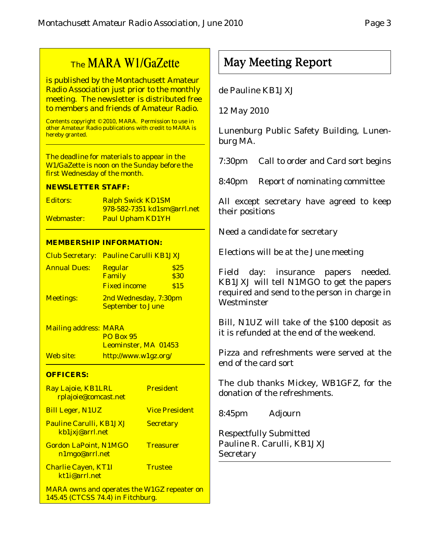# The MARA W1/GaZette

is published by the Montachusett Amateur Radio Association just prior to the monthly meeting. The newsletter is distributed free to members and friends of Amateur Radio.

Contents copyright © 2010, MARA. Permission to use in other Amateur Radio publications with credit to MARA is hereby granted.

The deadline for materials to appear in the W1/GaZette is noon on the Sunday before the first Wednesday of the month.

#### **NEWSLETTER STAFF:**

| Editors:   | <b>Ralph Swick KD1SM</b>           |
|------------|------------------------------------|
|            | <u>978-582-7351 kd1sm@arrl.net</u> |
| Webmaster: | <b>Paul Upham KD1YH</b>            |

#### **MEMBERSHIP INFORMATION:**

|                     | <b>Club Secretary: Pauline Carulli KB1JXJ</b>     |              |
|---------------------|---------------------------------------------------|--------------|
| <b>Annual Dues:</b> | <b>Regular</b><br>Family                          | \$25<br>\$30 |
|                     | <b>Fixed income</b>                               | \$15         |
| <b>Meetings:</b>    | 2nd Wednesday, 7:30pm<br><b>September to June</b> |              |

Mailing address: MARA PO Box 95 Leominster, MA 01453 Web site: http://www.w1gz.org/

#### **OFFICERS:**

| Ray Lajoie, KB1LRL<br>rplajoie@comcast.net                                              | <b>President</b>      |
|-----------------------------------------------------------------------------------------|-----------------------|
| <b>Bill Leger, N1UZ</b>                                                                 | <b>Vice President</b> |
| <b>Pauline Carulli, KB1JXJ</b><br>kb1jxj@arrl.net                                       | <b>Secretary</b>      |
| <b>Gordon LaPoint, N1MGO</b><br>n1mgo@arrl.net                                          | <b>Treasurer</b>      |
| <b>Charlie Cayen, KT1I</b><br>kt1i@arrl.net                                             | <b>Trustee</b>        |
| <b>MARA</b> owns and operates the W1GZ repeater on<br>145.45 (CTCSS 74.4) in Fitchburg. |                       |

# May Meeting Report

#### de Pauline KB1JXJ

12 May 2010

Lunenburg Public Safety Building, Lunenburg MA.

7:30pm Call to order and Card sort begins

8:40pm Report of nominating committee

All except secretary have agreed to keep their positions

Need a candidate for secretary

Elections will be at the June meeting

Field day: insurance papers needed. KB1JXJ will tell N1MGO to get the papers required and send to the person in charge in Westminster

Bill, N1UZ will take of the \$100 deposit as it is refunded at the end of the weekend.

Pizza and refreshments were served at the end of the card sort

The club thanks Mickey, WB1GFZ, for the donation of the refreshments.

8:45pm Adjourn

Respectfully Submitted Pauline R. Carulli, KB1JXJ **Secretary**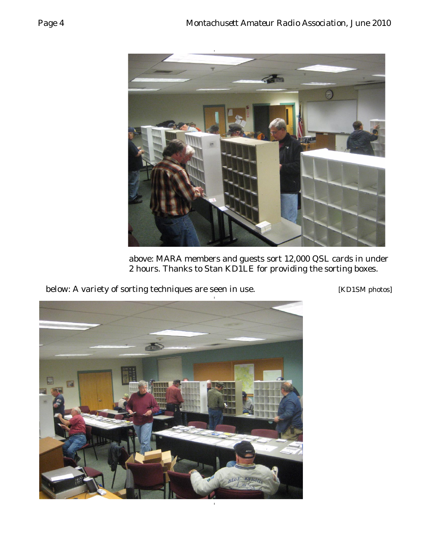

above: MARA members and guests sort 12,000 QSL cards in under 2 hours. Thanks to Stan KD1LE for providing the sorting boxes.

below: A variety of sorting techniques are seen in use. [KD1SM photos]

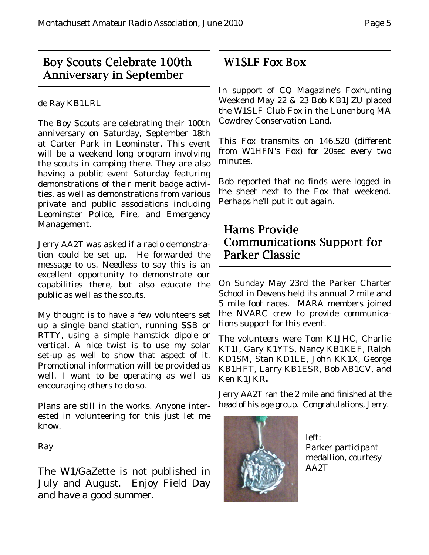# Boy Scouts Celebrate 100th Anniversary in September

de Ray KB1LRL

The Boy Scouts are celebrating their 100th anniversary on Saturday, September 18th at Carter Park in Leominster. This event will be a weekend long program involving the scouts in camping there. They are also having a public event Saturday featuring demonstrations of their merit badge activities, as well as demonstrations from various private and public associations including Leominster Police, Fire, and Emergency Management.

Jerry AA2T was asked if a radio demonstration could be set up. He forwarded the message to us. Needless to say this is an excellent opportunity to demonstrate our capabilities there, but also educate the public as well as the scouts.

My thought is to have a few volunteers set up a single band station, running SSB or RTTY, using a simple hamstick dipole or vertical. A nice twist is to use my solar set-up as well to show that aspect of it. Promotional information will be provided as well. I want to be operating as well as encouraging others to do so.

Plans are still in the works. Anyone interested in volunteering for this just let me know.

Ray

The W1/GaZette is not published in July and August. Enjoy Field Day and have a good summer.

# W1SLF Fox Box

In support of CQ Magazine's Foxhunting Weekend May 22 & 23 Bob KB1JZU placed the W1SLF Club Fox in the Lunenburg MA Cowdrey Conservation Land.

This Fox transmits on 146.520 (different from W1HFN's Fox) for 20sec every two minutes.

Bob reported that no finds were logged in the sheet next to the Fox that weekend. Perhaps he'll put it out again.

# Hams Provide Communications Support for Parker Classic

On Sunday May 23rd the Parker Charter School in Devens held its annual 2 mile and 5 mile foot races. MARA members joined the NVARC crew to provide communications support for this event.

The volunteers were Tom K1JHC, Charlie KT1I, Gary K1YTS, Nancy KB1KEF, Ralph KD1SM, Stan KD1LE, John KK1X, George KB1HFT, Larry KB1ESR, Bob AB1CV, and Ken K1JKR**.**

Jerry AA2T ran the 2 mile and finished at the head of his age group. Congratulations, Jerry.



left: Parker participant medallion, courtesy AA2T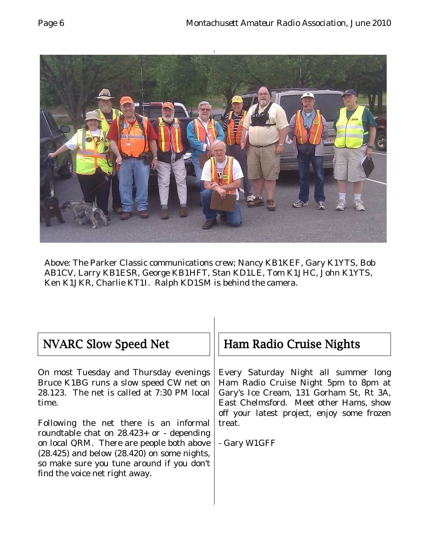



Above: The Parker Classic communications crew; Nancy KB1KEF, Gary K1YTS, Bob AB1CV, Larry KB1ESR, George KB1HFT, Stan KD1LE, Tom K1JHC, John K1YTS, Ken K1JKR, Charlie KT1I. Ralph KD1SM is behind the camera.

# NVARC Slow Speed Net

On most Tuesday and Thursday evenings Bruce K1BG runs a slow speed CW net on 28.123. The net is called at 7:30 PM local time.

Following the net there is an informal roundtable chat on 28.423+ or - depending on local QRM. There are people both above (28.425) and below (28.420) on some nights, so make sure you tune around if you don't find the voice net right away.

# Ham Radio Cruise Nights

Every Saturday Night all summer long Ham Radio Cruise Night 5pm to 8pm at Gary's Ice Cream, 131 Gorham St, Rt 3A, East Chelmsford. Meet other Hams, show off your latest project, enjoy some frozen treat.

- Gary W1GFF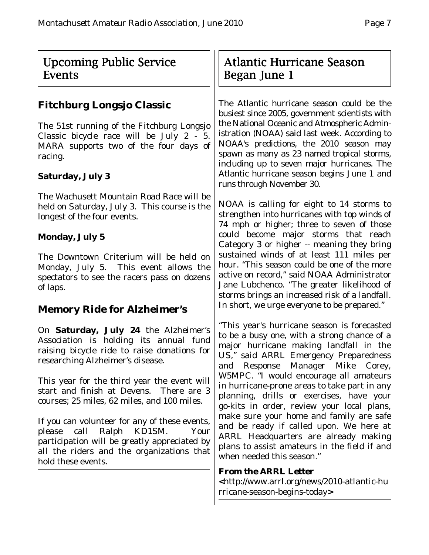# Upcoming Public Service Events

## **Fitchburg Longsjo Classic**

The 51st running of the Fitchburg Longsjo Classic bicycle race will be July 2 - 5. MARA supports two of the four days of racing.

#### **Saturday, July 3**

The Wachusett Mountain Road Race will be held on Saturday, July 3. This course is the longest of the four events.

#### **Monday, July 5**

The Downtown Criterium will be held on Monday, July 5. This event allows the spectators to see the racers pass on dozens of laps.

### **Memory Ride for Alzheimer's**

On **Saturday, July 24** the Alzheimer's Association is holding its annual fund raising bicycle ride to raise donations for researching Alzheimer's disease.

This year for the third year the event will start and finish at Devens. There are 3 courses; 25 miles, 62 miles, and 100 miles.

If you can volunteer for any of these events, please call Ralph KD1SM. Your participation will be greatly appreciated by all the riders and the organizations that hold these events.

# Atlantic Hurricane Season Began June 1

The Atlantic hurricane season could be the busiest since 2005, government scientists with the National Oceanic and Atmospheric Administration (NOAA) said last week. According to NOAA's predictions, the 2010 season may spawn as many as 23 named tropical storms, including up to seven major hurricanes. The Atlantic hurricane season begins June 1 and runs through November 30.

NOAA is calling for eight to 14 storms to strengthen into hurricanes with top winds of 74 mph or higher; three to seven of those could become major storms that reach Category 3 or higher -- meaning they bring sustained winds of at least 111 miles per hour. "This season could be one of the more active on record," said NOAA Administrator Jane Lubchenco. "The greater likelihood of storms brings an increased risk of a landfall. In short, we urge everyone to be prepared."

"This year's hurricane season is forecasted to be a busy one, with a strong chance of a major hurricane making landfall in the US," said ARRL Emergency Preparedness and Response Manager Mike Corey, W5MPC. "I would encourage all amateurs in hurricane-prone areas to take part in any planning, drills or exercises, have your go-kits in order, review your local plans, make sure your home and family are safe and be ready if called upon. We here at ARRL Headquarters are already making plans to assist amateurs in the field if and when needed this season."

#### *From the ARRL Letter*

*<*http://www.arrl.org/news/2010-atlantic-hu rricane-season-begins-today**>**